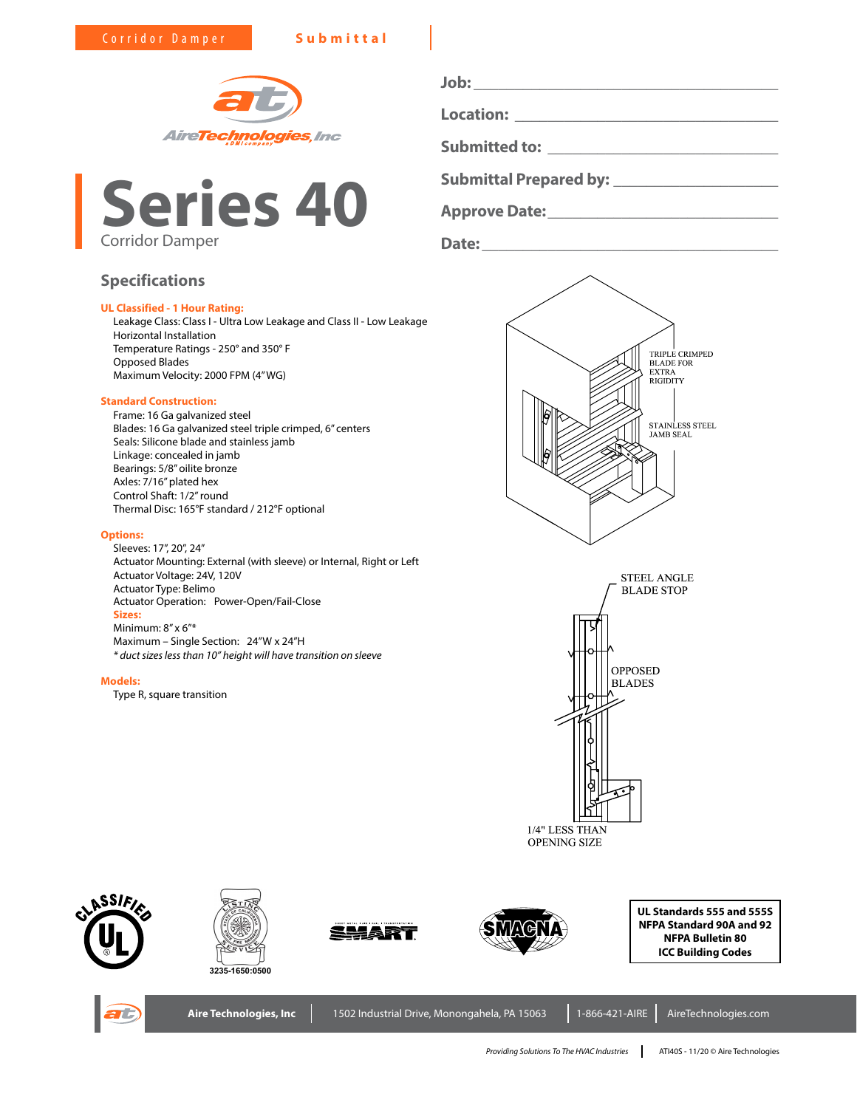



# **Specifications**

## **UL Classified - 1 Hour Rating:**

Leakage Class: Class I - Ultra Low Leakage and Class II - Low Leakage Horizontal Installation Temperature Ratings - 250° and 350° F Opposed Blades Maximum Velocity: 2000 FPM (4" WG)

### **Standard Construction:**

Frame: 16 Ga galvanized steel Blades: 16 Ga galvanized steel triple crimped, 6" centers Seals: Silicone blade and stainless jamb Linkage: concealed in jamb Bearings: 5/8" oilite bronze Axles: 7/16" plated hex Control Shaft: 1/2" round Thermal Disc: 165°F standard / 212°F optional

#### **Options:**

Sleeves: 17", 20", 24" Actuator Mounting: External (with sleeve) or Internal, Right or Left Actuator Voltage: 24V, 120V Actuator Type: Belimo Actuator Operation: Power-Open/Fail-Close **Sizes:** Minimum: 8" x 6"\* Maximum – Single Section: 24"W x 24"H *\* duct sizes less than 10" height will have transition on sleeve*

#### **Models:**

Type R, square transition

**Job: \_\_\_\_\_\_\_\_\_\_\_\_\_\_\_\_\_\_\_\_\_\_\_\_\_\_\_\_\_\_\_\_\_\_\_\_\_ Location: \_\_\_\_\_\_\_\_\_\_\_\_\_\_\_\_\_\_\_\_\_\_\_\_\_\_\_\_\_\_\_\_ Submitted to: \_\_\_\_\_\_\_\_\_\_\_\_\_\_\_\_\_\_\_\_\_\_\_\_\_\_\_\_**

**Submittal Prepared by: \_\_\_\_\_\_\_\_\_\_\_\_\_\_\_\_\_\_\_\_**

**Approve Date:\_\_\_\_\_\_\_\_\_\_\_\_\_\_\_\_\_\_\_\_\_\_\_\_\_\_\_\_**

**Date:\_\_\_\_\_\_\_\_\_\_\_\_\_\_\_\_\_\_\_\_\_\_\_\_\_\_\_\_\_\_\_\_\_\_\_\_**













**UL Standards 555 and 555S NFPA Standard 90A and 92 NFPA Bulletin 80 ICC Building Codes**



Aire Technologies, Inc | 1502 Industrial Drive, Monongahela, PA 15063 | 1-866-421-AIRE | AireTechnologies.com